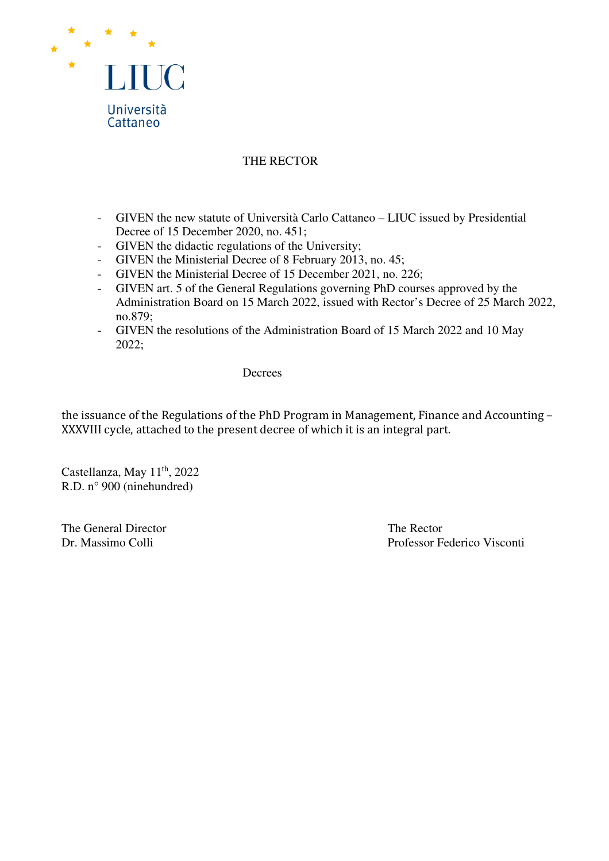

### THE RECTOR

- GIVEN the new statute of Università Carlo Cattaneo LIUC issued by Presidential Decree of 15 December 2020, no. 451;
- GIVEN the didactic regulations of the University;
- GIVEN the Ministerial Decree of 8 February 2013, no. 45;
- GIVEN the Ministerial Decree of 15 December 2021, no. 226;
- GIVEN art. 5 of the General Regulations governing PhD courses approved by the Administration Board on 15 March 2022, issued with Rector's Decree of 25 March 2022, no.879;
- GIVEN the resolutions of the Administration Board of 15 March 2022 and 10 May 2022;

#### Decrees

the issuance of the Regulations of the PhD Program in Management, Finance and Accounting – XXXVIII cycle, attached to the present decree of which it is an integral part.

Castellanza, May 11<sup>th</sup>, 2022 R.D. n° 900 (ninehundred)

The General Director The Rector

Dr. Massimo Colli Professor Federico Visconti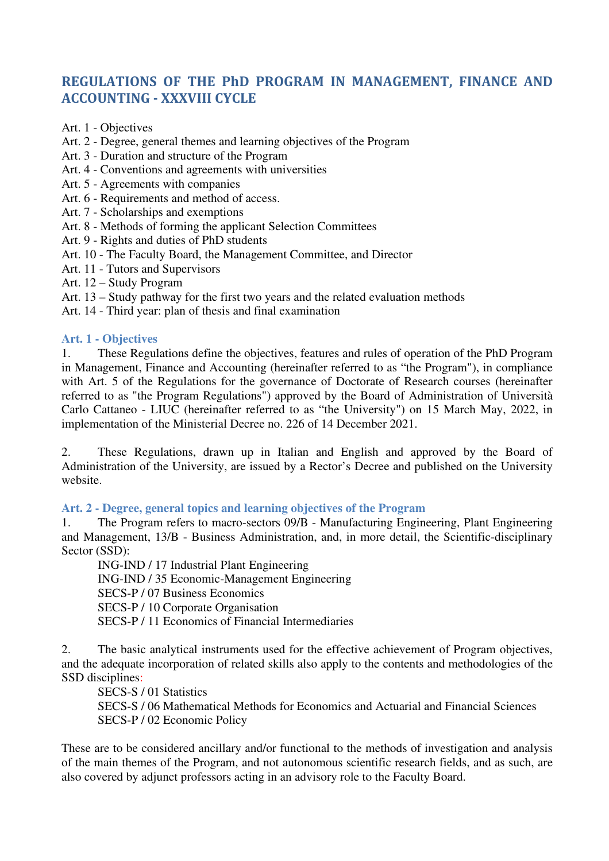# **REGULATIONS OF THE PhD PROGRAM IN MANAGEMENT, FINANCE AND ACCOUNTING - XXXVIII CYCLE**

- Art. 1 Objectives
- Art. 2 Degree, general themes and learning objectives of the Program
- Art. 3 Duration and structure of the Program
- Art. 4 Conventions and agreements with universities
- Art. 5 Agreements with companies
- Art. 6 Requirements and method of access.
- Art. 7 Scholarships and exemptions
- Art. 8 Methods of forming the applicant Selection Committees
- Art. 9 Rights and duties of PhD students
- Art. 10 The Faculty Board, the Management Committee, and Director
- Art. 11 Tutors and Supervisors
- Art. 12 Study Program
- Art. 13 Study pathway for the first two years and the related evaluation methods
- Art. 14 Third year: plan of thesis and final examination

#### **Art. 1 - Objectives**

1. These Regulations define the objectives, features and rules of operation of the PhD Program in Management, Finance and Accounting (hereinafter referred to as "the Program"), in compliance with Art. 5 of the Regulations for the governance of Doctorate of Research courses (hereinafter referred to as "the Program Regulations") approved by the Board of Administration of Università Carlo Cattaneo - LIUC (hereinafter referred to as "the University") on 15 March May, 2022, in implementation of the Ministerial Decree no. 226 of 14 December 2021.

2. These Regulations, drawn up in Italian and English and approved by the Board of Administration of the University, are issued by a Rector's Decree and published on the University website.

### **Art. 2 - Degree, general topics and learning objectives of the Program**

1. The Program refers to macro-sectors 09/B - Manufacturing Engineering, Plant Engineering and Management, 13/B - Business Administration, and, in more detail, the Scientific-disciplinary Sector (SSD):

ING-IND / 17 Industrial Plant Engineering ING-IND / 35 Economic-Management Engineering SECS-P / 07 Business Economics SECS-P / 10 Corporate Organisation SECS-P / 11 Economics of Financial Intermediaries

2. The basic analytical instruments used for the effective achievement of Program objectives, and the adequate incorporation of related skills also apply to the contents and methodologies of the SSD disciplines:

SECS-S / 01 Statistics

SECS-S / 06 Mathematical Methods for Economics and Actuarial and Financial Sciences SECS-P / 02 Economic Policy

These are to be considered ancillary and/or functional to the methods of investigation and analysis of the main themes of the Program, and not autonomous scientific research fields, and as such, are also covered by adjunct professors acting in an advisory role to the Faculty Board.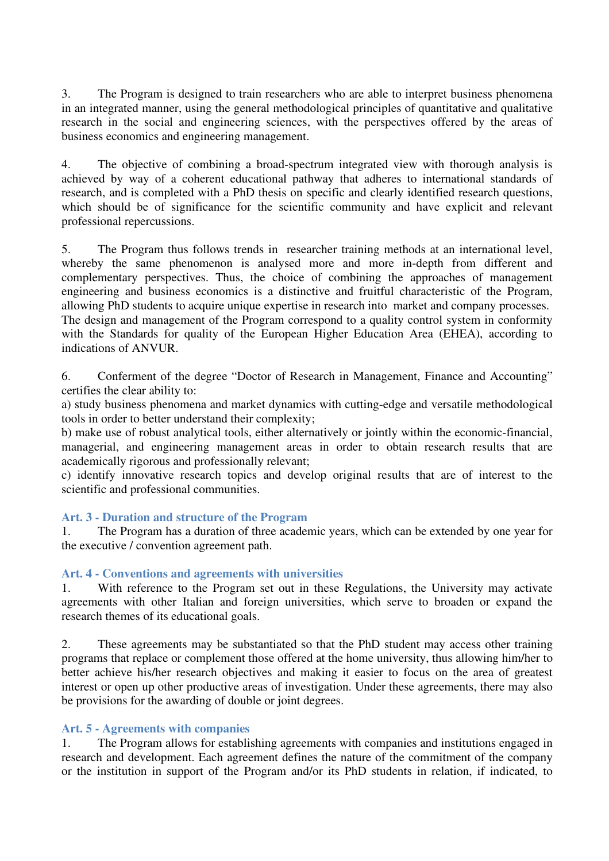3. The Program is designed to train researchers who are able to interpret business phenomena in an integrated manner, using the general methodological principles of quantitative and qualitative research in the social and engineering sciences, with the perspectives offered by the areas of business economics and engineering management.

4. The objective of combining a broad-spectrum integrated view with thorough analysis is achieved by way of a coherent educational pathway that adheres to international standards of research, and is completed with a PhD thesis on specific and clearly identified research questions, which should be of significance for the scientific community and have explicit and relevant professional repercussions.

5. The Program thus follows trends in researcher training methods at an international level, whereby the same phenomenon is analysed more and more in-depth from different and complementary perspectives. Thus, the choice of combining the approaches of management engineering and business economics is a distinctive and fruitful characteristic of the Program, allowing PhD students to acquire unique expertise in research into market and company processes. The design and management of the Program correspond to a quality control system in conformity with the Standards for quality of the European Higher Education Area (EHEA), according to indications of ANVUR.

6. Conferment of the degree "Doctor of Research in Management, Finance and Accounting" certifies the clear ability to:

a) study business phenomena and market dynamics with cutting-edge and versatile methodological tools in order to better understand their complexity;

b) make use of robust analytical tools, either alternatively or jointly within the economic-financial, managerial, and engineering management areas in order to obtain research results that are academically rigorous and professionally relevant;

c) identify innovative research topics and develop original results that are of interest to the scientific and professional communities.

### **Art. 3 - Duration and structure of the Program**

1. The Program has a duration of three academic years, which can be extended by one year for the executive / convention agreement path.

#### **Art. 4 - Conventions and agreements with universities**

1. With reference to the Program set out in these Regulations, the University may activate agreements with other Italian and foreign universities, which serve to broaden or expand the research themes of its educational goals.

2. These agreements may be substantiated so that the PhD student may access other training programs that replace or complement those offered at the home university, thus allowing him/her to better achieve his/her research objectives and making it easier to focus on the area of greatest interest or open up other productive areas of investigation. Under these agreements, there may also be provisions for the awarding of double or joint degrees.

#### **Art. 5 - Agreements with companies**

1. The Program allows for establishing agreements with companies and institutions engaged in research and development. Each agreement defines the nature of the commitment of the company or the institution in support of the Program and/or its PhD students in relation, if indicated, to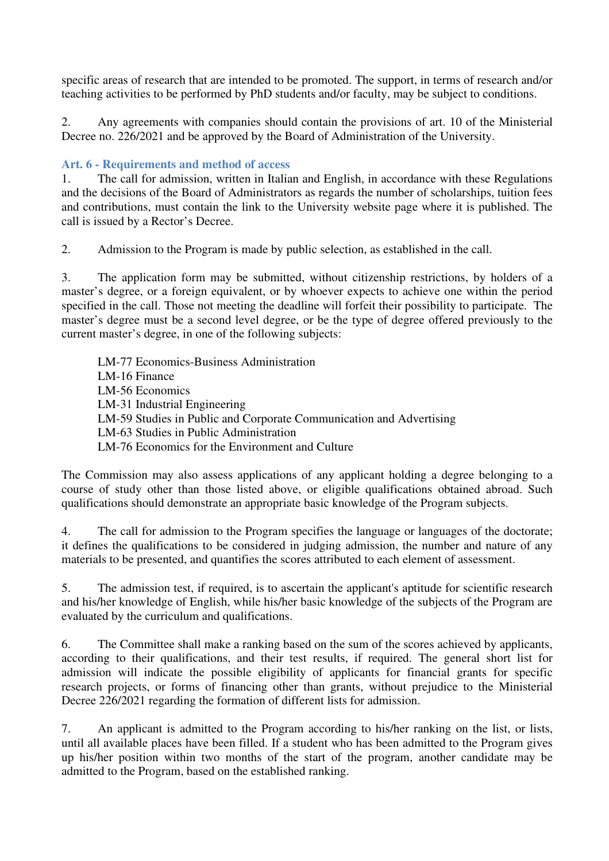specific areas of research that are intended to be promoted. The support, in terms of research and/or teaching activities to be performed by PhD students and/or faculty, may be subject to conditions.

2. Any agreements with companies should contain the provisions of art. 10 of the Ministerial Decree no. 226/2021 and be approved by the Board of Administration of the University.

### **Art. 6 - Requirements and method of access**

1. The call for admission, written in Italian and English, in accordance with these Regulations and the decisions of the Board of Administrators as regards the number of scholarships, tuition fees and contributions, must contain the link to the University website page where it is published. The call is issued by a Rector's Decree.

2. Admission to the Program is made by public selection, as established in the call.

3. The application form may be submitted, without citizenship restrictions, by holders of a master's degree, or a foreign equivalent, or by whoever expects to achieve one within the period specified in the call. Those not meeting the deadline will forfeit their possibility to participate. The master's degree must be a second level degree, or be the type of degree offered previously to the current master's degree, in one of the following subjects:

LM-77 Economics-Business Administration LM-16 Finance LM-56 Economics LM-31 Industrial Engineering LM-59 Studies in Public and Corporate Communication and Advertising LM-63 Studies in Public Administration LM-76 Economics for the Environment and Culture

The Commission may also assess applications of any applicant holding a degree belonging to a course of study other than those listed above, or eligible qualifications obtained abroad. Such qualifications should demonstrate an appropriate basic knowledge of the Program subjects.

4. The call for admission to the Program specifies the language or languages of the doctorate; it defines the qualifications to be considered in judging admission, the number and nature of any materials to be presented, and quantifies the scores attributed to each element of assessment.

5. The admission test, if required, is to ascertain the applicant's aptitude for scientific research and his/her knowledge of English, while his/her basic knowledge of the subjects of the Program are evaluated by the curriculum and qualifications.

6. The Committee shall make a ranking based on the sum of the scores achieved by applicants, according to their qualifications, and their test results, if required. The general short list for admission will indicate the possible eligibility of applicants for financial grants for specific research projects, or forms of financing other than grants, without prejudice to the Ministerial Decree 226/2021 regarding the formation of different lists for admission.

7. An applicant is admitted to the Program according to his/her ranking on the list, or lists, until all available places have been filled. If a student who has been admitted to the Program gives up his/her position within two months of the start of the program, another candidate may be admitted to the Program, based on the established ranking.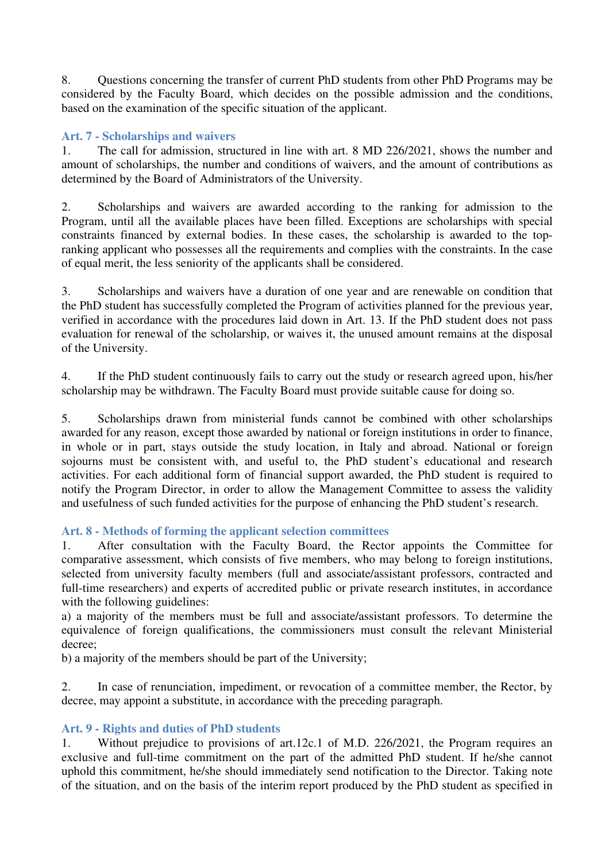8. Questions concerning the transfer of current PhD students from other PhD Programs may be considered by the Faculty Board, which decides on the possible admission and the conditions, based on the examination of the specific situation of the applicant.

## **Art. 7 - Scholarships and waivers**

1. The call for admission, structured in line with art. 8 MD 226/2021, shows the number and amount of scholarships, the number and conditions of waivers, and the amount of contributions as determined by the Board of Administrators of the University.

2. Scholarships and waivers are awarded according to the ranking for admission to the Program, until all the available places have been filled. Exceptions are scholarships with special constraints financed by external bodies. In these cases, the scholarship is awarded to the topranking applicant who possesses all the requirements and complies with the constraints. In the case of equal merit, the less seniority of the applicants shall be considered.

3. Scholarships and waivers have a duration of one year and are renewable on condition that the PhD student has successfully completed the Program of activities planned for the previous year, verified in accordance with the procedures laid down in Art. 13. If the PhD student does not pass evaluation for renewal of the scholarship, or waives it, the unused amount remains at the disposal of the University.

4. If the PhD student continuously fails to carry out the study or research agreed upon, his/her scholarship may be withdrawn. The Faculty Board must provide suitable cause for doing so.

5. Scholarships drawn from ministerial funds cannot be combined with other scholarships awarded for any reason, except those awarded by national or foreign institutions in order to finance, in whole or in part, stays outside the study location, in Italy and abroad. National or foreign sojourns must be consistent with, and useful to, the PhD student's educational and research activities. For each additional form of financial support awarded, the PhD student is required to notify the Program Director, in order to allow the Management Committee to assess the validity and usefulness of such funded activities for the purpose of enhancing the PhD student's research.

### **Art. 8 - Methods of forming the applicant selection committees**

1. After consultation with the Faculty Board, the Rector appoints the Committee for comparative assessment, which consists of five members, who may belong to foreign institutions, selected from university faculty members (full and associate/assistant professors, contracted and full-time researchers) and experts of accredited public or private research institutes, in accordance with the following guidelines:

a) a majority of the members must be full and associate/assistant professors. To determine the equivalence of foreign qualifications, the commissioners must consult the relevant Ministerial decree;

b) a majority of the members should be part of the University;

2. In case of renunciation, impediment, or revocation of a committee member, the Rector, by decree, may appoint a substitute, in accordance with the preceding paragraph.

# **Art. 9 - Rights and duties of PhD students**

1. Without prejudice to provisions of art.12c.1 of M.D. 226/2021, the Program requires an exclusive and full-time commitment on the part of the admitted PhD student. If he/she cannot uphold this commitment, he/she should immediately send notification to the Director. Taking note of the situation, and on the basis of the interim report produced by the PhD student as specified in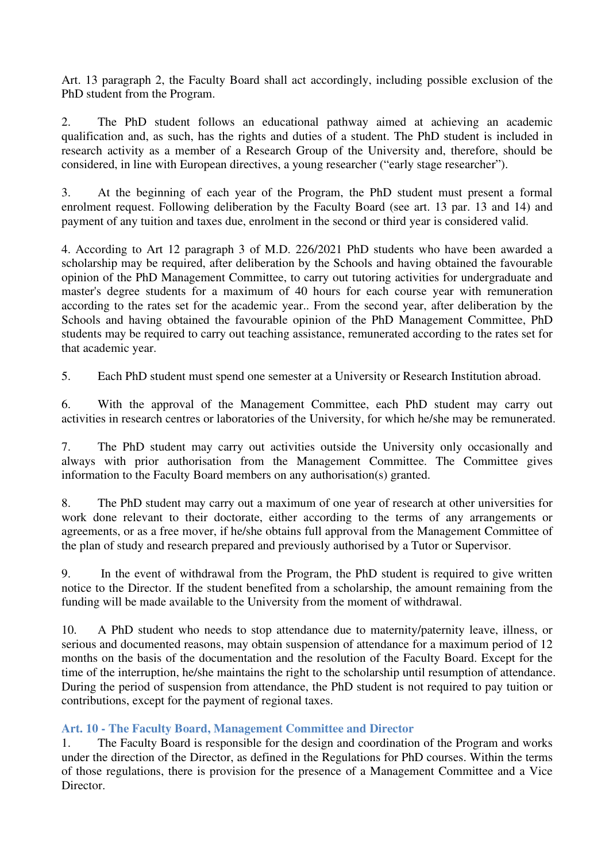Art. 13 paragraph 2, the Faculty Board shall act accordingly, including possible exclusion of the PhD student from the Program.

2. The PhD student follows an educational pathway aimed at achieving an academic qualification and, as such, has the rights and duties of a student. The PhD student is included in research activity as a member of a Research Group of the University and, therefore, should be considered, in line with European directives, a young researcher ("early stage researcher").

3. At the beginning of each year of the Program, the PhD student must present a formal enrolment request. Following deliberation by the Faculty Board (see art. 13 par. 13 and 14) and payment of any tuition and taxes due, enrolment in the second or third year is considered valid.

4. According to Art 12 paragraph 3 of M.D. 226/2021 PhD students who have been awarded a scholarship may be required, after deliberation by the Schools and having obtained the favourable opinion of the PhD Management Committee, to carry out tutoring activities for undergraduate and master's degree students for a maximum of 40 hours for each course year with remuneration according to the rates set for the academic year.. From the second year, after deliberation by the Schools and having obtained the favourable opinion of the PhD Management Committee, PhD students may be required to carry out teaching assistance, remunerated according to the rates set for that academic year.

5. Each PhD student must spend one semester at a University or Research Institution abroad.

6. With the approval of the Management Committee, each PhD student may carry out activities in research centres or laboratories of the University, for which he/she may be remunerated.

7. The PhD student may carry out activities outside the University only occasionally and always with prior authorisation from the Management Committee. The Committee gives information to the Faculty Board members on any authorisation(s) granted.

8. The PhD student may carry out a maximum of one year of research at other universities for work done relevant to their doctorate, either according to the terms of any arrangements or agreements, or as a free mover, if he/she obtains full approval from the Management Committee of the plan of study and research prepared and previously authorised by a Tutor or Supervisor.

9. In the event of withdrawal from the Program, the PhD student is required to give written notice to the Director. If the student benefited from a scholarship, the amount remaining from the funding will be made available to the University from the moment of withdrawal.

10. A PhD student who needs to stop attendance due to maternity/paternity leave, illness, or serious and documented reasons, may obtain suspension of attendance for a maximum period of 12 months on the basis of the documentation and the resolution of the Faculty Board. Except for the time of the interruption, he/she maintains the right to the scholarship until resumption of attendance. During the period of suspension from attendance, the PhD student is not required to pay tuition or contributions, except for the payment of regional taxes.

### **Art. 10 - The Faculty Board, Management Committee and Director**

1. The Faculty Board is responsible for the design and coordination of the Program and works under the direction of the Director, as defined in the Regulations for PhD courses. Within the terms of those regulations, there is provision for the presence of a Management Committee and a Vice Director.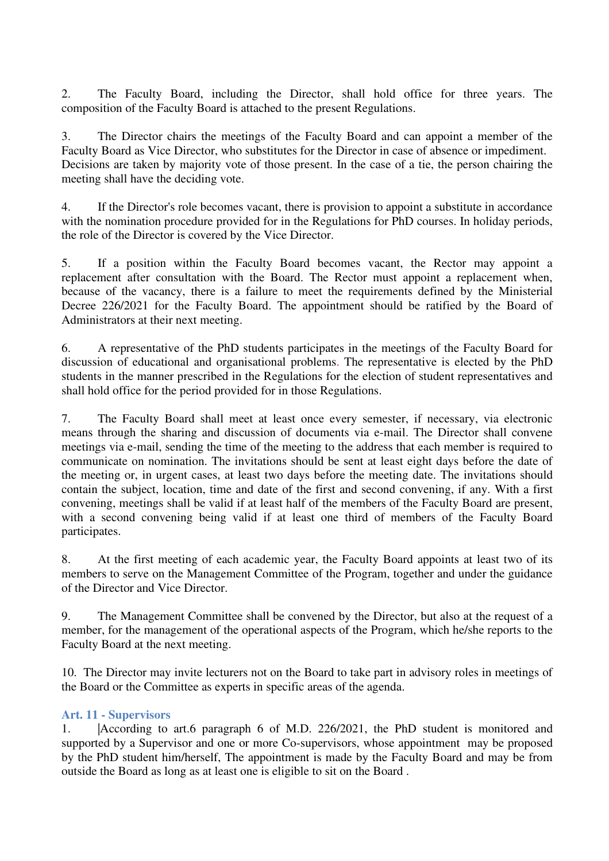2. The Faculty Board, including the Director, shall hold office for three years. The composition of the Faculty Board is attached to the present Regulations.

3. The Director chairs the meetings of the Faculty Board and can appoint a member of the Faculty Board as Vice Director, who substitutes for the Director in case of absence or impediment. Decisions are taken by majority vote of those present. In the case of a tie, the person chairing the meeting shall have the deciding vote.

4. If the Director's role becomes vacant, there is provision to appoint a substitute in accordance with the nomination procedure provided for in the Regulations for PhD courses. In holiday periods, the role of the Director is covered by the Vice Director.

5. If a position within the Faculty Board becomes vacant, the Rector may appoint a replacement after consultation with the Board. The Rector must appoint a replacement when, because of the vacancy, there is a failure to meet the requirements defined by the Ministerial Decree 226/2021 for the Faculty Board. The appointment should be ratified by the Board of Administrators at their next meeting.

6. A representative of the PhD students participates in the meetings of the Faculty Board for discussion of educational and organisational problems. The representative is elected by the PhD students in the manner prescribed in the Regulations for the election of student representatives and shall hold office for the period provided for in those Regulations.

7. The Faculty Board shall meet at least once every semester, if necessary, via electronic means through the sharing and discussion of documents via e-mail. The Director shall convene meetings via e-mail, sending the time of the meeting to the address that each member is required to communicate on nomination. The invitations should be sent at least eight days before the date of the meeting or, in urgent cases, at least two days before the meeting date. The invitations should contain the subject, location, time and date of the first and second convening, if any. With a first convening, meetings shall be valid if at least half of the members of the Faculty Board are present, with a second convening being valid if at least one third of members of the Faculty Board participates.

8. At the first meeting of each academic year, the Faculty Board appoints at least two of its members to serve on the Management Committee of the Program, together and under the guidance of the Director and Vice Director.

9. The Management Committee shall be convened by the Director, but also at the request of a member, for the management of the operational aspects of the Program, which he/she reports to the Faculty Board at the next meeting.

10. The Director may invite lecturers not on the Board to take part in advisory roles in meetings of the Board or the Committee as experts in specific areas of the agenda.

### **Art. 11 - Supervisors**

1. |According to art.6 paragraph 6 of M.D. 226/2021, the PhD student is monitored and supported by a Supervisor and one or more Co-supervisors, whose appointment may be proposed by the PhD student him/herself, The appointment is made by the Faculty Board and may be from outside the Board as long as at least one is eligible to sit on the Board .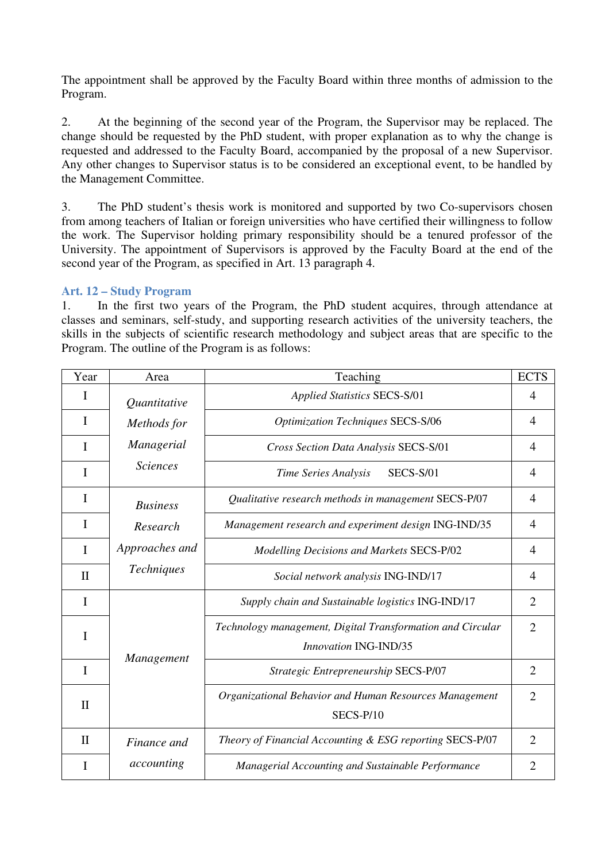The appointment shall be approved by the Faculty Board within three months of admission to the Program.

2. At the beginning of the second year of the Program, the Supervisor may be replaced. The change should be requested by the PhD student, with proper explanation as to why the change is requested and addressed to the Faculty Board, accompanied by the proposal of a new Supervisor. Any other changes to Supervisor status is to be considered an exceptional event, to be handled by the Management Committee.

3. The PhD student's thesis work is monitored and supported by two Co-supervisors chosen from among teachers of Italian or foreign universities who have certified their willingness to follow the work. The Supervisor holding primary responsibility should be a tenured professor of the University. The appointment of Supervisors is approved by the Faculty Board at the end of the second year of the Program, as specified in Art. 13 paragraph 4.

#### **Art. 12 – Study Program**

1. In the first two years of the Program, the PhD student acquires, through attendance at classes and seminars, self-study, and supporting research activities of the university teachers, the skills in the subjects of scientific research methodology and subject areas that are specific to the Program. The outline of the Program is as follows:

| Year         | Area              | Teaching                                                                            | <b>ECTS</b>    |
|--------------|-------------------|-------------------------------------------------------------------------------------|----------------|
| I            | Quantitative      | <b>Applied Statistics SECS-S/01</b>                                                 | 4              |
| T            | Methods for       | <b>Optimization Techniques SECS-S/06</b>                                            | 4              |
| I            | Managerial        | Cross Section Data Analysis SECS-S/01                                               | 4              |
| I            | <b>Sciences</b>   | Time Series Analysis<br><b>SECS-S/01</b>                                            | $\overline{4}$ |
| I            | <b>Business</b>   | Qualitative research methods in management SECS-P/07                                | $\overline{4}$ |
| I            | Research          | Management research and experiment design ING-IND/35                                | $\overline{4}$ |
| I            | Approaches and    | <b>Modelling Decisions and Markets SECS-P/02</b>                                    | 4              |
| $\mathbf{I}$ | Techniques        | Social network analysis ING-IND/17                                                  | 4              |
| $\mathbf I$  | <b>Management</b> | Supply chain and Sustainable logistics ING-IND/17                                   | $\overline{2}$ |
| I            |                   | Technology management, Digital Transformation and Circular<br>Innovation ING-IND/35 | $\overline{2}$ |
| I            |                   | Strategic Entrepreneurship SECS-P/07                                                | $\overline{2}$ |
| $\mathbf{I}$ |                   | Organizational Behavior and Human Resources Management<br>SECS-P/10                 | $\overline{2}$ |
| $\mathbf{I}$ | Finance and       | Theory of Financial Accounting & ESG reporting SECS-P/07                            | $\overline{2}$ |
| I            | accounting        | Managerial Accounting and Sustainable Performance                                   | 2              |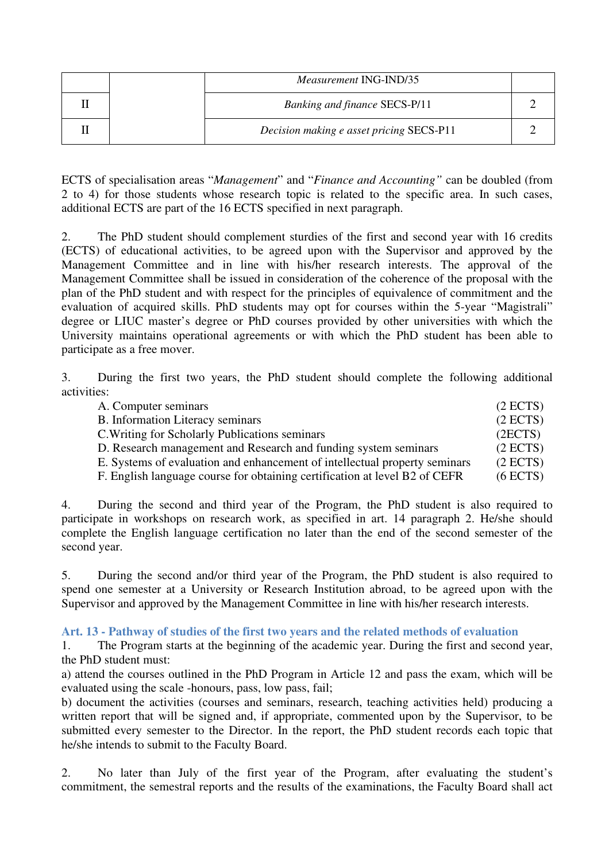|  | <i>Measurement ING-IND/35</i>            |  |
|--|------------------------------------------|--|
|  | <b>Banking and finance SECS-P/11</b>     |  |
|  | Decision making e asset pricing SECS-P11 |  |

ECTS of specialisation areas "*Management*" and "*Finance and Accounting"* can be doubled (from 2 to 4) for those students whose research topic is related to the specific area. In such cases, additional ECTS are part of the 16 ECTS specified in next paragraph.

2. The PhD student should complement sturdies of the first and second year with 16 credits (ECTS) of educational activities, to be agreed upon with the Supervisor and approved by the Management Committee and in line with his/her research interests. The approval of the Management Committee shall be issued in consideration of the coherence of the proposal with the plan of the PhD student and with respect for the principles of equivalence of commitment and the evaluation of acquired skills. PhD students may opt for courses within the 5-year "Magistrali" degree or LIUC master's degree or PhD courses provided by other universities with which the University maintains operational agreements or with which the PhD student has been able to participate as a free mover.

3. During the first two years, the PhD student should complete the following additional activities:

| A. Computer seminars                                                       | (2 ECTS) |
|----------------------------------------------------------------------------|----------|
| <b>B.</b> Information Literacy seminars                                    | (2 ECTS) |
| C. Writing for Scholarly Publications seminars                             | (2ECTS)  |
| D. Research management and Research and funding system seminars            | (2 ECTS) |
| E. Systems of evaluation and enhancement of intellectual property seminars | (2 ECTS) |
| F. English language course for obtaining certification at level B2 of CEFR | (6 ECTS) |

4. During the second and third year of the Program, the PhD student is also required to participate in workshops on research work, as specified in art. 14 paragraph 2. He/she should complete the English language certification no later than the end of the second semester of the second year.

5. During the second and/or third year of the Program, the PhD student is also required to spend one semester at a University or Research Institution abroad, to be agreed upon with the Supervisor and approved by the Management Committee in line with his/her research interests.

#### **Art. 13 - Pathway of studies of the first two years and the related methods of evaluation**

1. The Program starts at the beginning of the academic year. During the first and second year, the PhD student must:

a) attend the courses outlined in the PhD Program in Article 12 and pass the exam, which will be evaluated using the scale -honours, pass, low pass, fail;

b) document the activities (courses and seminars, research, teaching activities held) producing a written report that will be signed and, if appropriate, commented upon by the Supervisor, to be submitted every semester to the Director. In the report, the PhD student records each topic that he/she intends to submit to the Faculty Board.

2. No later than July of the first year of the Program, after evaluating the student's commitment, the semestral reports and the results of the examinations, the Faculty Board shall act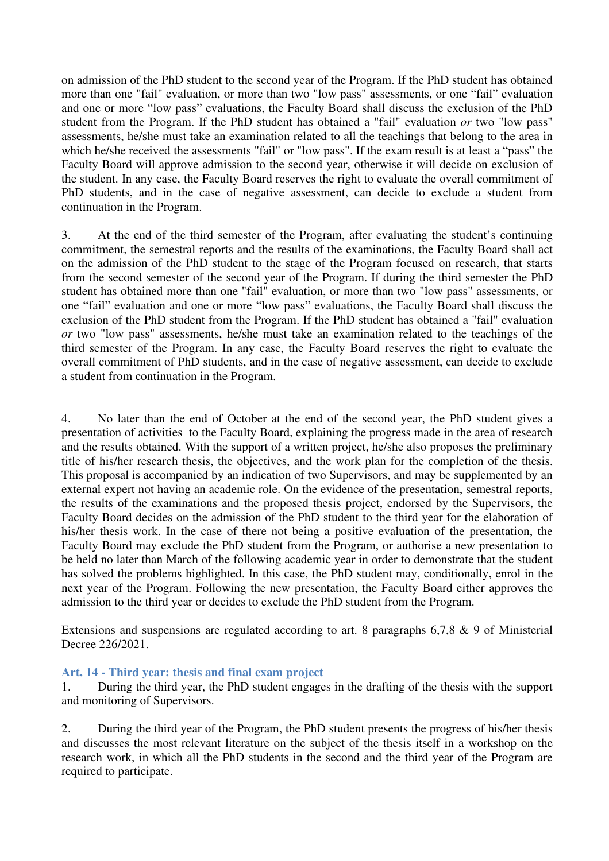on admission of the PhD student to the second year of the Program. If the PhD student has obtained more than one "fail" evaluation, or more than two "low pass" assessments, or one "fail" evaluation and one or more "low pass" evaluations, the Faculty Board shall discuss the exclusion of the PhD student from the Program. If the PhD student has obtained a "fail" evaluation *or* two "low pass" assessments, he/she must take an examination related to all the teachings that belong to the area in which he/she received the assessments "fail" or "low pass". If the exam result is at least a "pass" the Faculty Board will approve admission to the second year, otherwise it will decide on exclusion of the student. In any case, the Faculty Board reserves the right to evaluate the overall commitment of PhD students, and in the case of negative assessment, can decide to exclude a student from continuation in the Program.

3. At the end of the third semester of the Program, after evaluating the student's continuing commitment, the semestral reports and the results of the examinations, the Faculty Board shall act on the admission of the PhD student to the stage of the Program focused on research, that starts from the second semester of the second year of the Program. If during the third semester the PhD student has obtained more than one "fail" evaluation, or more than two "low pass" assessments, or one "fail" evaluation and one or more "low pass" evaluations, the Faculty Board shall discuss the exclusion of the PhD student from the Program. If the PhD student has obtained a "fail" evaluation *or* two "low pass" assessments, he/she must take an examination related to the teachings of the third semester of the Program. In any case, the Faculty Board reserves the right to evaluate the overall commitment of PhD students, and in the case of negative assessment, can decide to exclude a student from continuation in the Program.

4. No later than the end of October at the end of the second year, the PhD student gives a presentation of activities to the Faculty Board, explaining the progress made in the area of research and the results obtained. With the support of a written project, he/she also proposes the preliminary title of his/her research thesis, the objectives, and the work plan for the completion of the thesis. This proposal is accompanied by an indication of two Supervisors, and may be supplemented by an external expert not having an academic role. On the evidence of the presentation, semestral reports, the results of the examinations and the proposed thesis project, endorsed by the Supervisors, the Faculty Board decides on the admission of the PhD student to the third year for the elaboration of his/her thesis work. In the case of there not being a positive evaluation of the presentation, the Faculty Board may exclude the PhD student from the Program, or authorise a new presentation to be held no later than March of the following academic year in order to demonstrate that the student has solved the problems highlighted. In this case, the PhD student may, conditionally, enrol in the next year of the Program. Following the new presentation, the Faculty Board either approves the admission to the third year or decides to exclude the PhD student from the Program.

Extensions and suspensions are regulated according to art. 8 paragraphs 6,7,8 & 9 of Ministerial Decree 226/2021.

#### **Art. 14 - Third year: thesis and final exam project**

1. During the third year, the PhD student engages in the drafting of the thesis with the support and monitoring of Supervisors.

2. During the third year of the Program, the PhD student presents the progress of his/her thesis and discusses the most relevant literature on the subject of the thesis itself in a workshop on the research work, in which all the PhD students in the second and the third year of the Program are required to participate.